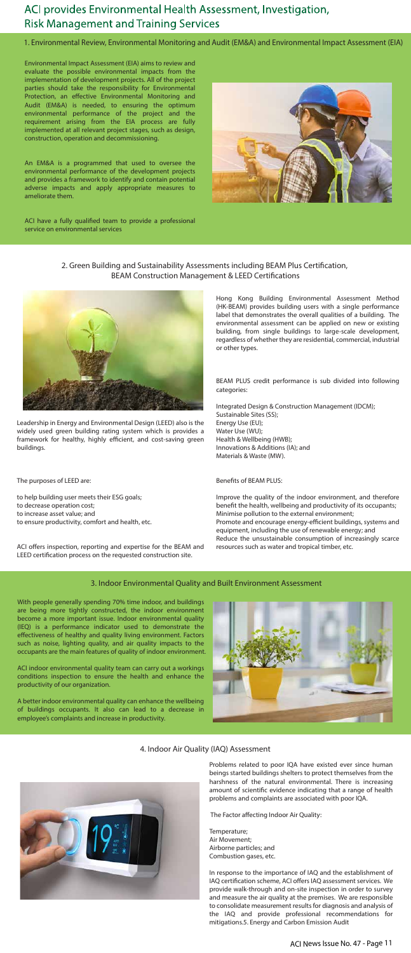# ACI provides Environmental Health Assessment, Investigation, **Risk Management and Training Services**

1. Environmental Review, Environmental Monitoring and Audit (EM&A) and Environmental Impact Assessment (EIA)

Environmental Impact Assessment (EIA) aims to review and evaluate the possible environmental impacts from the implementation of development projects. All of the project parties should take the responsibility for Environmental Protection, an effective Environmental Monitoring and Audit (EM&A) is needed, to ensuring the optimum environmental performance of the project and the requirement arising from the EIA process are fully implemented at all relevant project stages, such as design, construction, operation and decommissioning.

ACI have a fully qualified team to provide a professional service on environmental services



2. Green Building and Sustainability Assessments including BEAM Plus Certification, BEAM Construction Management & LEED Certifications



An EM&A is a programmed that used to oversee the environmental performance of the development projects and provides a framework to identify and contain potential adverse impacts and apply appropriate measures to ameliorate them.

> Hong Kong Building Environmental Assessment Method (HK-BEAM) provides building users with a single performance label that demonstrates the overall qualities of a building. The environmental assessment can be applied on new or existing building, from single buildings to large-scale development, regardless of whether they are residential, commercial, industrial or other types.

> BEAM PLUS credit performance is sub divided into following categories:

Integrated Design & Construction Management (IDCM); Sustainable Sites (SS); Energy Use (EU); Water Use (WU); Health & Wellbeing (HWB); Innovations & Additions (IA); and Materials & Waste (MW).

#### Benefits of BEAM PLUS:

Improve the quality of the indoor environment, and therefore benefit the health, wellbeing and productivity of its occupants; Minimise pollution to the external environment; Promote and encourage energy-efficient buildings, systems and equipment, including the use of renewable energy; and Reduce the unsustainable consumption of increasingly scarce resources such as water and tropical timber, etc.

Leadership in Energy and Environmental Design (LEED) also is the widely used green building rating system which is provides a framework for healthy, highly efficient, and cost-saving green buildings.

The purposes of LEED are:

to help building user meets their ESG goals; to decrease operation cost; to increase asset value; and to ensure productivity, comfort and health, etc.

ACI offers inspection, reporting and expertise for the BEAM and LEED certification process on the requested construction site.

## 3. Indoor Environmental Quality and Built Environment Assessment

With people generally spending 70% time indoor, and buildings are being more tightly constructed, the indoor environment become a more important issue. Indoor environmental quality (IEQ) is a performance indicator used to demonstrate the effectiveness of healthy and quality living environment. Factors such as noise, lighting quality, and air quality impacts to the occupants are the main features of quality of indoor environment.



ACI indoor environmental quality team can carry out a workings conditions inspection to ensure the health and enhance the productivity of our organization.

A better indoor environmental quality can enhance the wellbeing of buildings occupants. It also can lead to a decrease in employee's complaints and increase in productivity.

## 4. Indoor Air Quality (IAQ) Assessment



Problems related to poor IQA have existed ever since human beings started buildings shelters to protect themselves from the harshness of the natural environmental. There is increasing amount of scientific evidence indicating that a range of health problems and complaints are associated with poor IQA.

The Factor affecting Indoor Air Quality:

Temperature; Air Movement; Airborne particles; and Combustion gases, etc.

In response to the importance of IAQ and the establishment of IAQ certification scheme, ACI offers IAQ assessment services. We provide walk-through and on-site inspection in order to survey and measure the air quality at the premises. We are responsible to consolidate measurement results for diagnosis and analysis of the IAQ and provide professional recommendations for mitigations.5. Energy and Carbon Emission Audit